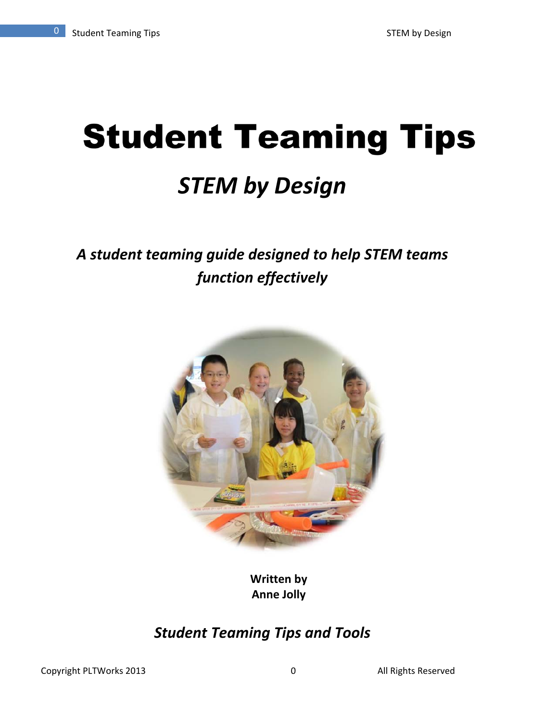# **Student Teaming Tips** *STEM by Design*

# *A student teaming guide designed to help STEM teams function effectively*



**Written by Anne Jolly**

# *Student Teaming Tips and Tools*

Copyright PLTWorks 2013 0 All Rights Reserved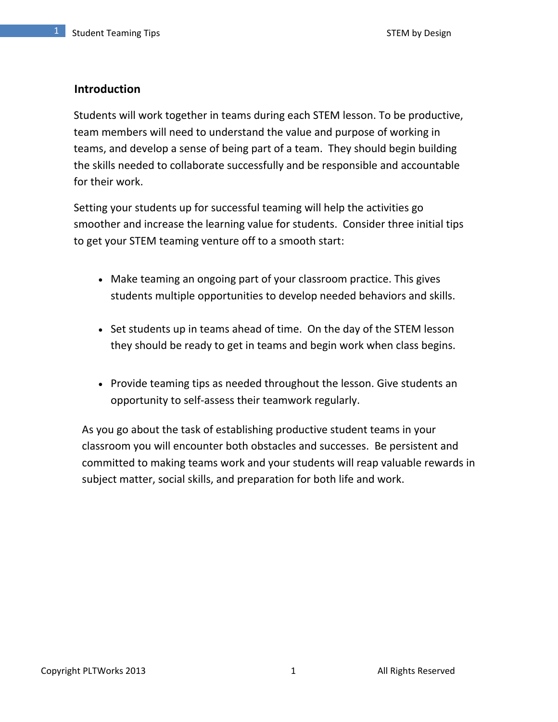### **Introduction**

Students will work together in teams during each STEM lesson. To be productive, team members will need to understand the value and purpose of working in teams, and develop a sense of being part of a team. They should begin building the skills needed to collaborate successfully and be responsible and accountable for their work.

Setting your students up for successful teaming will help the activities go smoother and increase the learning value for students. Consider three initial tips to get your STEM teaming venture off to a smooth start:

- Make teaming an ongoing part of your classroom practice. This gives students multiple opportunities to develop needed behaviors and skills.
- Set students up in teams ahead of time. On the day of the STEM lesson they should be ready to get in teams and begin work when class begins.
- Provide teaming tips as needed throughout the lesson. Give students an opportunity to self‐assess their teamwork regularly.

As you go about the task of establishing productive student teams in your classroom you will encounter both obstacles and successes. Be persistent and committed to making teams work and your students will reap valuable rewards in subject matter, social skills, and preparation for both life and work.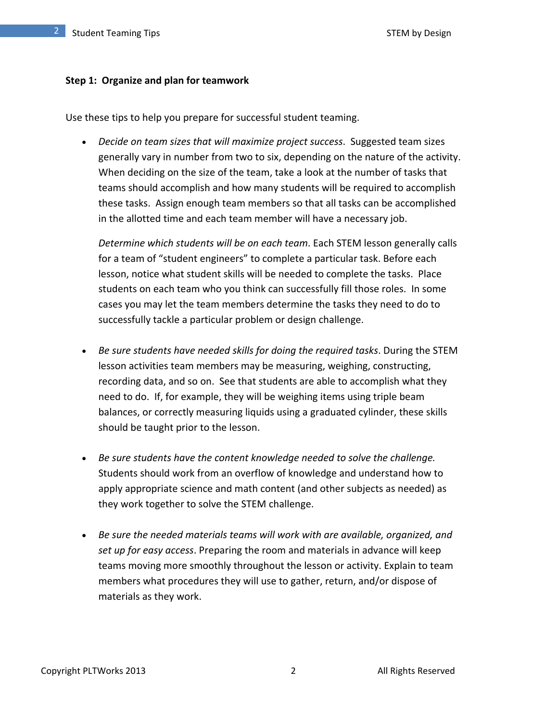#### **Step 1: Organize and plan for teamwork**

Use these tips to help you prepare for successful student teaming.

 *Decide on team sizes that will maximize project success*. Suggested team sizes generally vary in number from two to six, depending on the nature of the activity. When deciding on the size of the team, take a look at the number of tasks that teams should accomplish and how many students will be required to accomplish these tasks. Assign enough team members so that all tasks can be accomplished in the allotted time and each team member will have a necessary job.

*Determine which students will be on each team*. Each STEM lesson generally calls for a team of "student engineers" to complete a particular task. Before each lesson, notice what student skills will be needed to complete the tasks. Place students on each team who you think can successfully fill those roles. In some cases you may let the team members determine the tasks they need to do to successfully tackle a particular problem or design challenge.

- *Be sure students have needed skills for doing the required tasks*. During the STEM lesson activities team members may be measuring, weighing, constructing, recording data, and so on. See that students are able to accomplish what they need to do. If, for example, they will be weighing items using triple beam balances, or correctly measuring liquids using a graduated cylinder, these skills should be taught prior to the lesson.
- *Be sure students have the content knowledge needed to solve the challenge.* Students should work from an overflow of knowledge and understand how to apply appropriate science and math content (and other subjects as needed) as they work together to solve the STEM challenge.
- *Be sure the needed materials teams will work with are available, organized, and set up for easy access*. Preparing the room and materials in advance will keep teams moving more smoothly throughout the lesson or activity. Explain to team members what procedures they will use to gather, return, and/or dispose of materials as they work.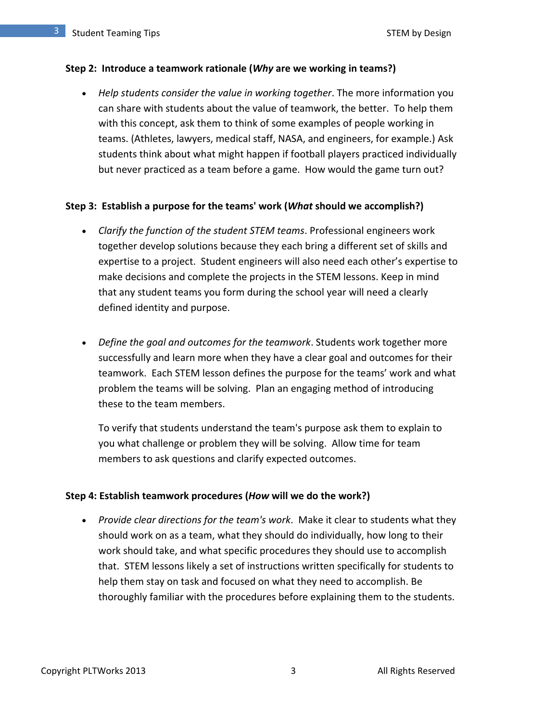#### **Step 2: Introduce a teamwork rationale (***Why* **are we working in teams?)**

 *Help students consider the value in working together*. The more information you can share with students about the value of teamwork, the better. To help them with this concept, ask them to think of some examples of people working in teams. (Athletes, lawyers, medical staff, NASA, and engineers, for example.) Ask students think about what might happen if football players practiced individually but never practiced as a team before a game. How would the game turn out?

#### **Step 3: Establish a purpose for the teams' work (***What* **should we accomplish?)**

- *Clarify the function of the student STEM teams*. Professional engineers work together develop solutions because they each bring a different set of skills and expertise to a project. Student engineers will also need each other's expertise to make decisions and complete the projects in the STEM lessons. Keep in mind that any student teams you form during the school year will need a clearly defined identity and purpose.
- *Define the goal and outcomes for the teamwork*. Students work together more successfully and learn more when they have a clear goal and outcomes for their teamwork. Each STEM lesson defines the purpose for the teams' work and what problem the teams will be solving. Plan an engaging method of introducing these to the team members.

To verify that students understand the team's purpose ask them to explain to you what challenge or problem they will be solving. Allow time for team members to ask questions and clarify expected outcomes.

#### **Step 4: Establish teamwork procedures (***How* **will we do the work?)**

 *Provide clear directions for the team's work*. Make it clear to students what they should work on as a team, what they should do individually, how long to their work should take, and what specific procedures they should use to accomplish that. STEM lessons likely a set of instructions written specifically for students to help them stay on task and focused on what they need to accomplish. Be thoroughly familiar with the procedures before explaining them to the students.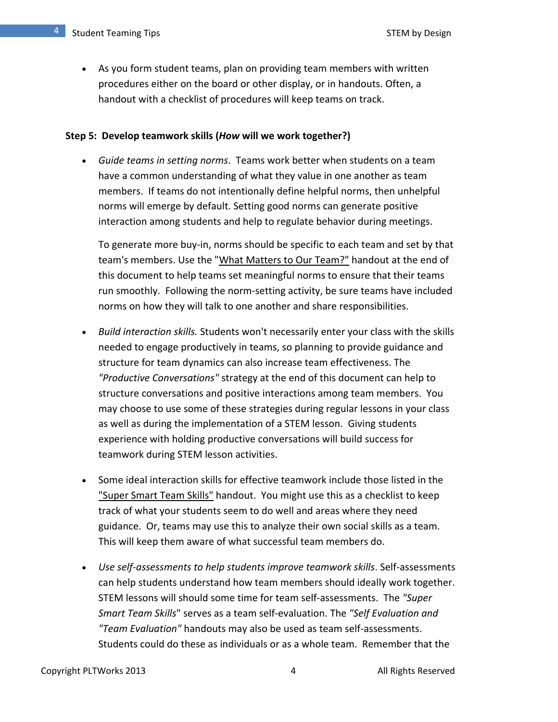As you form student teams, plan on providing team members with written procedures either on the board or other display, or in handouts. Often, a handout with a checklist of procedures will keep teams on track.

#### **Step 5: Develop teamwork skills (***How* **will we work together?)**

 *Guide teams in setting norms*. Teams work better when students on a team have a common understanding of what they value in one another as team members. If teams do not intentionally define helpful norms, then unhelpful norms will emerge by default. Setting good norms can generate positive interaction among students and help to regulate behavior during meetings.

To generate more buy‐in, norms should be specific to each team and set by that team's members. Use the "What Matters to Our Team?" handout at the end of this document to help teams set meaningful norms to ensure that their teams run smoothly. Following the norm‐setting activity, be sure teams have included norms on how they will talk to one another and share responsibilities.

- *Build interaction skills.* Students won't necessarily enter your class with the skills needed to engage productively in teams, so planning to provide guidance and structure for team dynamics can also increase team effectiveness. The *"Productive Conversations"* strategy at the end of this document can help to structure conversations and positive interactions among team members. You may choose to use some of these strategies during regular lessons in your class as well as during the implementation of a STEM lesson. Giving students experience with holding productive conversations will build success for teamwork during STEM lesson activities.
- Some ideal interaction skills for effective teamwork include those listed in the "Super Smart Team Skills" handout. You might use this as a checklist to keep track of what your students seem to do well and areas where they need guidance. Or, teams may use this to analyze their own social skills as a team. This will keep them aware of what successful team members do.
- *Use self‐assessments to help students improve teamwork skills*. Self‐assessments can help students understand how team members should ideally work together. STEM lessons will should some time for team self‐assessments. The *"Super Smart Team Skills*" serves as a team self‐evaluation. The *"Self Evaluation and "Team Evaluation"* handouts may also be used as team self‐assessments. Students could do these as individuals or as a whole team. Remember that the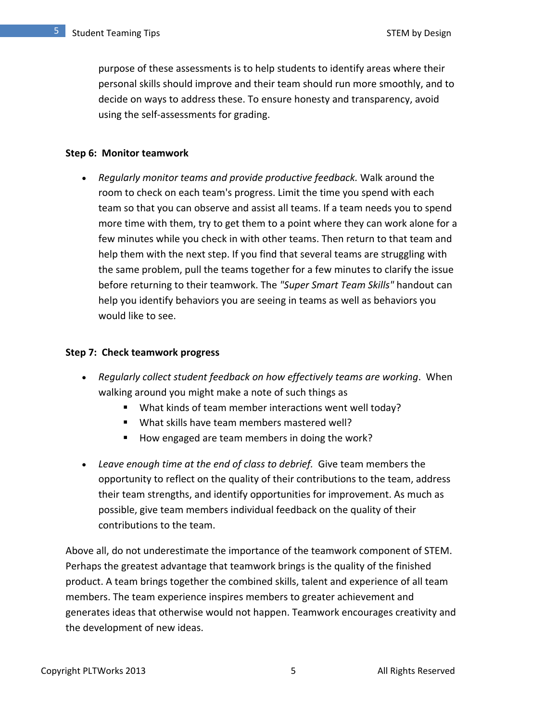purpose of these assessments is to help students to identify areas where their personal skills should improve and their team should run more smoothly, and to decide on ways to address these. To ensure honesty and transparency, avoid using the self‐assessments for grading.

#### **Step 6: Monitor teamwork**

 *Regularly monitor teams and provide productive feedback.* Walk around the room to check on each team's progress. Limit the time you spend with each team so that you can observe and assist all teams. If a team needs you to spend more time with them, try to get them to a point where they can work alone for a few minutes while you check in with other teams. Then return to that team and help them with the next step. If you find that several teams are struggling with the same problem, pull the teams together for a few minutes to clarify the issue before returning to their teamwork. The *"Super Smart Team Skills"* handout can help you identify behaviors you are seeing in teams as well as behaviors you would like to see.

#### **Step 7: Check teamwork progress**

- *Regularly collect student feedback on how effectively teams are working*. When walking around you might make a note of such things as
	- What kinds of team member interactions went well today?
	- What skills have team members mastered well?
	- How engaged are team members in doing the work?
- *Leave enough time at the end of class to debrief.* Give team members the opportunity to reflect on the quality of their contributions to the team, address their team strengths, and identify opportunities for improvement. As much as possible, give team members individual feedback on the quality of their contributions to the team.

Above all, do not underestimate the importance of the teamwork component of STEM. Perhaps the greatest advantage that teamwork brings is the quality of the finished product. A team brings together the combined skills, talent and experience of all team members. The team experience inspires members to greater achievement and generates ideas that otherwise would not happen. Teamwork encourages creativity and the development of new ideas.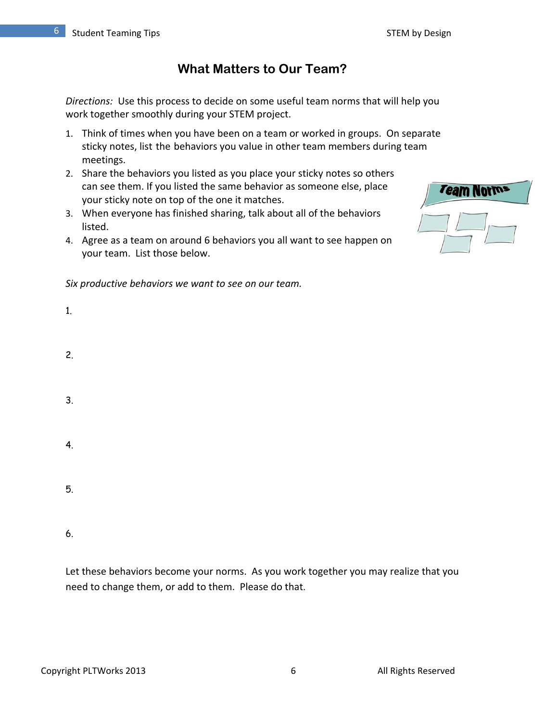# **What Matters to Our Team?**

*Directions:* Use this process to decide on some useful team norms that will help you work together smoothly during your STEM project.

- 1. Think of times when you have been on a team or worked in groups. On separate sticky notes, list the behaviors you value in other team members during team meetings.
- 2. Share the behaviors you listed as you place your sticky notes so others can see them. If you listed the same behavior as someone else, place your sticky note on top of the one it matches.
- 3. When everyone has finished sharing, talk about all of the behaviors listed.
- 4. Agree as a team on around 6 behaviors you all want to see happen on your team. List those below.



| <b>Team Norms</b> |  |
|-------------------|--|
|                   |  |

1.

- 2.
- 3.
- 4.
- 5.

6.

Let these behaviors become your norms. As you work together you may realize that you need to change them, or add to them. Please do that.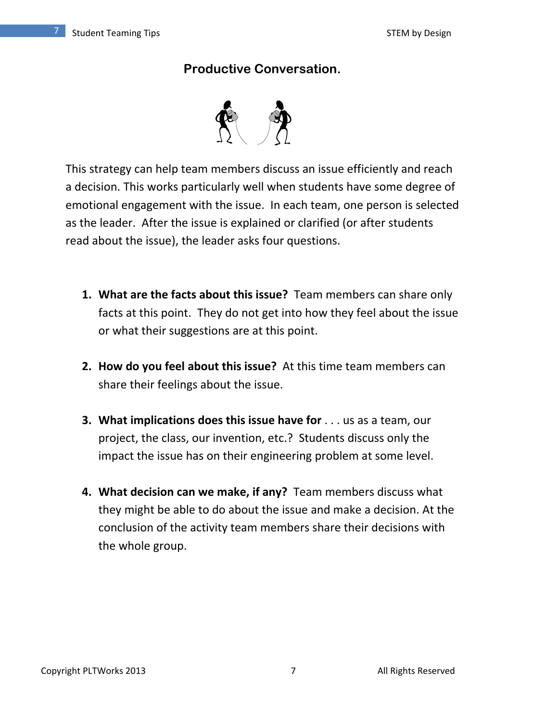# **Productive Conversation.**



This strategy can help team members discuss an issue efficiently and reach a decision. This works particularly well when students have some degree of emotional engagement with the issue. In each team, one person is selected as the leader. After the issue is explained or clarified (or after students read about the issue), the leader asks four questions.

- **1. What are the facts about this issue?** Team members can share only facts at this point. They do not get into how they feel about the issue or what their suggestions are at this point.
- **2. How do you feel about this issue?** At this time team members can share their feelings about the issue.
- **3. What implications does this issue have for** . . . us as a team, our project, the class, our invention, etc.? Students discuss only the impact the issue has on their engineering problem at some level.
- **4. What decision can we make, if any?** Team members discuss what they might be able to do about the issue and make a decision. At the conclusion of the activity team members share their decisions with the whole group.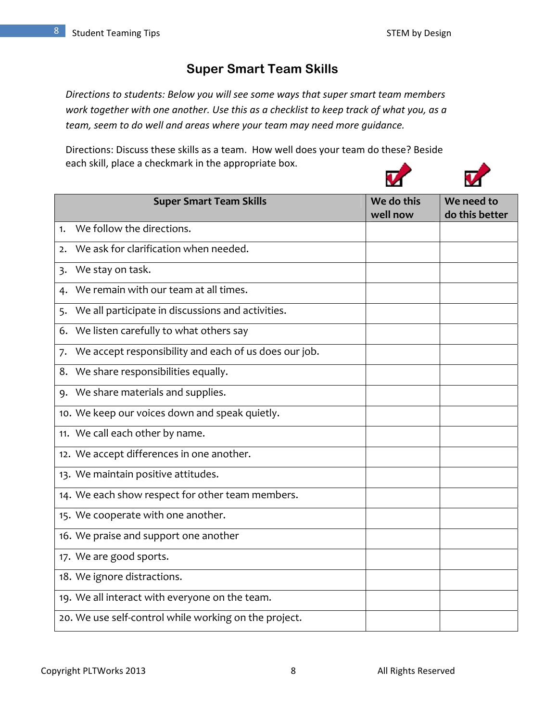# **Super Smart Team Skills**

*Directions to students: Below you will see some ways that super smart team members work together with one another. Use this as a checklist to keep track of what you, as a team, seem to do well and areas where your team may need more guidance.* 

Directions: Discuss these skills as a team. How well does your team do these? Beside each skill, place a checkmark in the appropriate box.

| <b>Super Smart Team Skills</b>                              |  | We do this | We need to     |
|-------------------------------------------------------------|--|------------|----------------|
|                                                             |  | well now   | do this better |
| We follow the directions.<br>1.                             |  |            |                |
| We ask for clarification when needed.<br>$\mathbf{2}$       |  |            |                |
| We stay on task.<br>$\overline{3}$                          |  |            |                |
| We remain with our team at all times.<br>4.                 |  |            |                |
| We all participate in discussions and activities.<br>5.     |  |            |                |
| We listen carefully to what others say<br>6.                |  |            |                |
| We accept responsibility and each of us does our job.<br>7. |  |            |                |
| We share responsibilities equally.<br>8.                    |  |            |                |
| 9. We share materials and supplies.                         |  |            |                |
| 10. We keep our voices down and speak quietly.              |  |            |                |
| 11. We call each other by name.                             |  |            |                |
| 12. We accept differences in one another.                   |  |            |                |
| 13. We maintain positive attitudes.                         |  |            |                |
| 14. We each show respect for other team members.            |  |            |                |
| 15. We cooperate with one another.                          |  |            |                |
| 16. We praise and support one another                       |  |            |                |
| 17. We are good sports.                                     |  |            |                |
| 18. We ignore distractions.                                 |  |            |                |
| 19. We all interact with everyone on the team.              |  |            |                |
| 20. We use self-control while working on the project.       |  |            |                |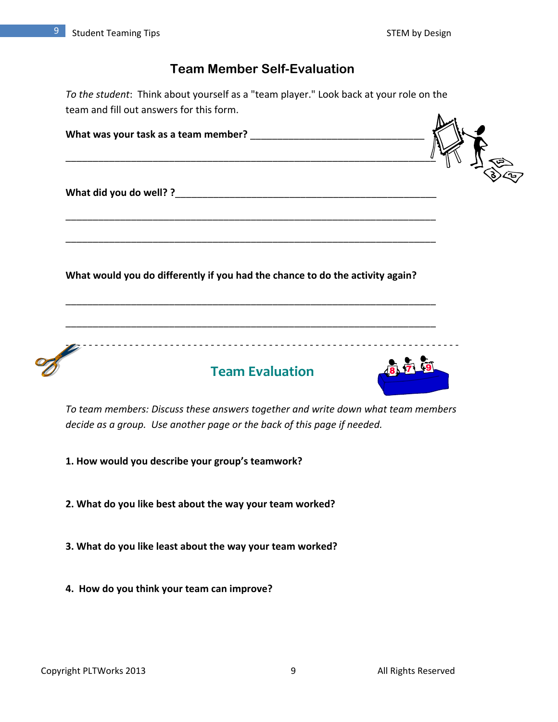## **Team Member Self-Evaluation**

*To the student*: Think about yourself as a "team player." Look back at your role on the team and fill out answers for this form.  $\mathbb{A}$  .

| What would you do differently if you had the chance to do the activity again? |  |
|-------------------------------------------------------------------------------|--|
|                                                                               |  |
| <b>Team Evaluation</b>                                                        |  |
|                                                                               |  |

- **1. How would you describe your group's teamwork?**
- **2. What do you like best about the way your team worked?**
- **3. What do you like least about the way your team worked?**
- **4. How do you think your team can improve?**